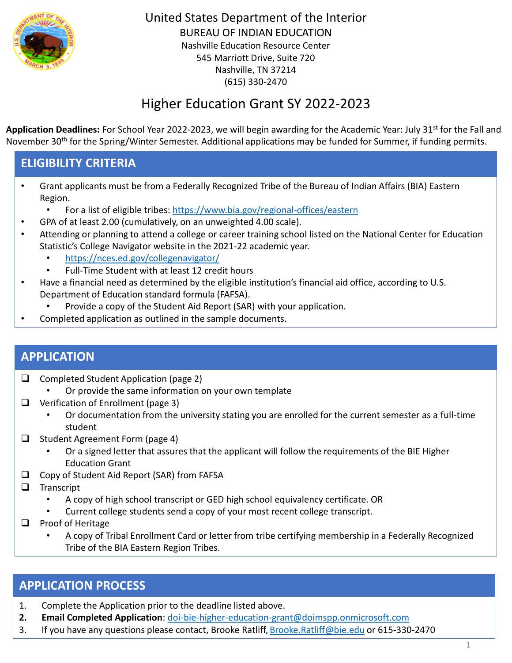

# Higher Education Grant SY 2022-2023

Application Deadlines: For School Year 2022-2023, we will begin awarding for the Academic Year: July 31<sup>st</sup> for the Fall and November 30<sup>th</sup> for the Spring/Winter Semester. Additional applications may be funded for Summer, if funding permits.

### **ELIGIBILITY CRITERIA**

- Grant applicants must be from a Federally Recognized Tribe of the Bureau of Indian Affairs (BIA) Eastern Region.
	- For a list of eligible tribes:<https://www.bia.gov/regional-offices/eastern>
- GPA of at least 2.00 (cumulatively, on an unweighted 4.00 scale).
- Attending or planning to attend a college or career training school listed on the National Center for Education Statistic's College Navigator website in the 2021-22 academic year.
	- <https://nces.ed.gov/collegenavigator/>
	- Full-Time Student with at least 12 credit hours
- Have a financial need as determined by the eligible institution's financial aid office, according to U.S. Department of Education standard formula (FAFSA).
	- Provide a copy of the Student Aid Report (SAR) with your application.
- Completed application as outlined in the sample documents.

#### **APPLICATION**

- ❑ Completed Student Application (page 2)
	- Or provide the same information on your own template
- ❑ Verification of Enrollment (page 3)
	- Or documentation from the university stating you are enrolled for the current semester as a full-time student
- ❑ Student Agreement Form (page 4)
	- Or a signed letter that assures that the applicant will follow the requirements of the BIE Higher Education Grant
- ❑ Copy of Student Aid Report (SAR) from FAFSA
- ❑ Transcript
	- A copy of high school transcript or GED high school equivalency certificate. OR
	- Current college students send a copy of your most recent college transcript.
- ❑ Proof of Heritage
	- A copy of Tribal Enrollment Card or letter from tribe certifying membership in a Federally Recognized Tribe of the BIA Eastern Region Tribes.

#### **APPLICATION PROCESS**

- 1. Complete the Application prior to the deadline listed above.
- **2. Email Completed Application**: [doi-bie-higher-education-grant@doimspp.onmicrosoft.com](mailto:doi-bie-higher-education-grant@doimspp.onmicrosoft.com)
- 3. If you have any questions please contact, Brooke Ratliff, [Brooke.Ratliff@bie.edu](mailto:Brooke.Ratliff@bie.edu) or 615-330-2470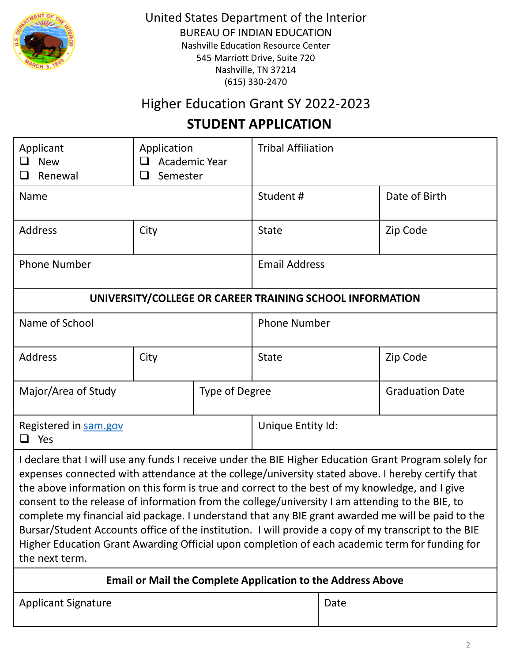

## Higher Education Grant SY 2022-2023

### **STUDENT APPLICATION**

| Applicant<br><b>New</b><br>$\Box$<br>Renewal                                                                                                                                                                                                                                                                                                                                                                                                                                                                                                                                                                                                                                                                                                    | Application<br>Academic Year<br>⊔<br>$\Box$<br>Semester |                   | <b>Tribal Affiliation</b> |               |  |  |
|-------------------------------------------------------------------------------------------------------------------------------------------------------------------------------------------------------------------------------------------------------------------------------------------------------------------------------------------------------------------------------------------------------------------------------------------------------------------------------------------------------------------------------------------------------------------------------------------------------------------------------------------------------------------------------------------------------------------------------------------------|---------------------------------------------------------|-------------------|---------------------------|---------------|--|--|
| Name                                                                                                                                                                                                                                                                                                                                                                                                                                                                                                                                                                                                                                                                                                                                            |                                                         |                   | Student#                  | Date of Birth |  |  |
| <b>Address</b>                                                                                                                                                                                                                                                                                                                                                                                                                                                                                                                                                                                                                                                                                                                                  | City                                                    |                   | <b>State</b>              | Zip Code      |  |  |
| <b>Phone Number</b>                                                                                                                                                                                                                                                                                                                                                                                                                                                                                                                                                                                                                                                                                                                             |                                                         |                   | <b>Email Address</b>      |               |  |  |
| UNIVERSITY/COLLEGE OR CAREER TRAINING SCHOOL INFORMATION                                                                                                                                                                                                                                                                                                                                                                                                                                                                                                                                                                                                                                                                                        |                                                         |                   |                           |               |  |  |
| Name of School                                                                                                                                                                                                                                                                                                                                                                                                                                                                                                                                                                                                                                                                                                                                  |                                                         |                   | <b>Phone Number</b>       |               |  |  |
| <b>Address</b>                                                                                                                                                                                                                                                                                                                                                                                                                                                                                                                                                                                                                                                                                                                                  | City                                                    |                   | <b>State</b>              | Zip Code      |  |  |
| Major/Area of Study<br><b>Type of Degree</b>                                                                                                                                                                                                                                                                                                                                                                                                                                                                                                                                                                                                                                                                                                    |                                                         |                   | <b>Graduation Date</b>    |               |  |  |
| Registered in sam.gov<br>$\Box$ Yes                                                                                                                                                                                                                                                                                                                                                                                                                                                                                                                                                                                                                                                                                                             |                                                         | Unique Entity Id: |                           |               |  |  |
| I declare that I will use any funds I receive under the BIE Higher Education Grant Program solely for<br>expenses connected with attendance at the college/university stated above. I hereby certify that<br>the above information on this form is true and correct to the best of my knowledge, and I give<br>consent to the release of information from the college/university I am attending to the BIE, to<br>complete my financial aid package. I understand that any BIE grant awarded me will be paid to the<br>Bursar/Student Accounts office of the institution. I will provide a copy of my transcript to the BIE<br>Higher Education Grant Awarding Official upon completion of each academic term for funding for<br>the next term. |                                                         |                   |                           |               |  |  |
| <b>Email or Mail the Complete Application to the Address Above</b>                                                                                                                                                                                                                                                                                                                                                                                                                                                                                                                                                                                                                                                                              |                                                         |                   |                           |               |  |  |

Applicant Signature **Date** Date **Date**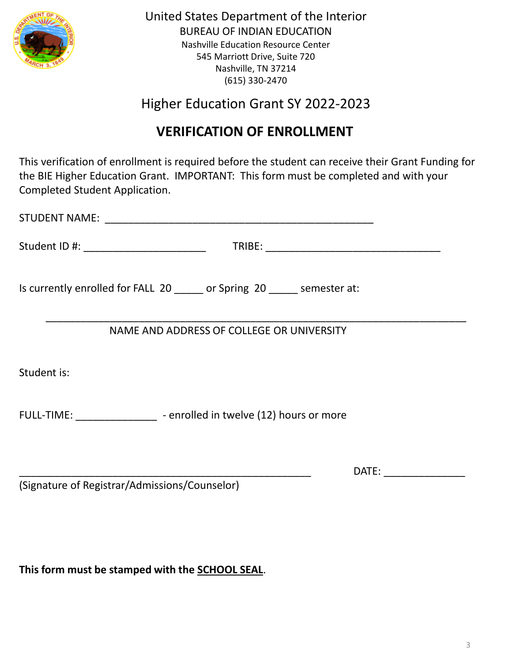

Higher Education Grant SY 2022-2023

## **VERIFICATION OF ENROLLMENT**

This verification of enrollment is required before the student can receive their Grant Funding for the BIE Higher Education Grant. IMPORTANT: This form must be completed and with your Completed Student Application.

| Student ID #: _________________________       |                                                                          |                              |
|-----------------------------------------------|--------------------------------------------------------------------------|------------------------------|
|                                               | Is currently enrolled for FALL 20 ______ or Spring 20 _____ semester at: |                              |
|                                               | NAME AND ADDRESS OF COLLEGE OR UNIVERSITY                                |                              |
| Student is:                                   |                                                                          |                              |
|                                               | FULL-TIME: - - - - - - - - - - - - enrolled in twelve (12) hours or more |                              |
|                                               |                                                                          | DATE: www.communications.com |
| (Signature of Registrar/Admissions/Counselor) |                                                                          |                              |

**This form must be stamped with the SCHOOL SEAL**.